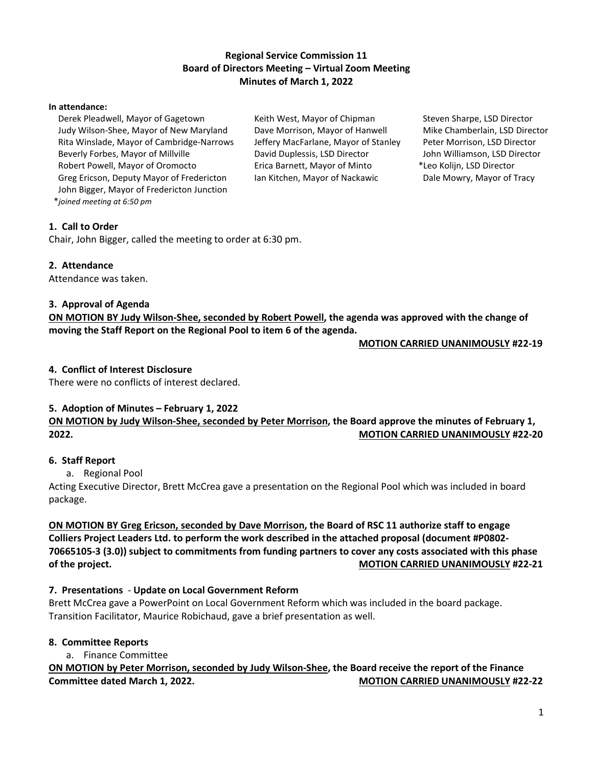## **Regional Service Commission 11 Board of Directors Meeting – Virtual Zoom Meeting Minutes of March 1, 2022**

#### **In attendance:**

 Derek Pleadwell, Mayor of Gagetown Judy Wilson-Shee, Mayor of New Maryland Rita Winslade, Mayor of Cambridge-Narrows Beverly Forbes, Mayor of Millville Robert Powell, Mayor of Oromocto Greg Ericson, Deputy Mayor of Fredericton John Bigger, Mayor of Fredericton Junction \**joined meeting at 6:50 pm*

Keith West, Mayor of Chipman Dave Morrison, Mayor of Hanwell Jeffery MacFarlane, Mayor of Stanley David Duplessis, LSD Director Erica Barnett, Mayor of Minto Ian Kitchen, Mayor of Nackawic

 Steven Sharpe, LSD Director Mike Chamberlain, LSD Director Peter Morrison, LSD Director John Williamson, LSD Director \*Leo Kolijn, LSD Director Dale Mowry, Mayor of Tracy

### **1. Call to Order**

Chair, John Bigger, called the meeting to order at 6:30 pm.

#### **2. Attendance**

Attendance was taken.

### **3. Approval of Agenda**

**ON MOTION BY Judy Wilson-Shee, seconded by Robert Powell, the agenda was approved with the change of moving the Staff Report on the Regional Pool to item 6 of the agenda.** 

 **MOTION CARRIED UNANIMOUSLY #22-19**

### **4. Conflict of Interest Disclosure**

There were no conflicts of interest declared.

### **5. Adoption of Minutes – February 1, 2022**

**ON MOTION by Judy Wilson-Shee, seconded by Peter Morrison, the Board approve the minutes of February 1, 2022. MOTION CARRIED UNANIMOUSLY #22-20**

### **6. Staff Report**

a. Regional Pool

Acting Executive Director, Brett McCrea gave a presentation on the Regional Pool which was included in board package.

## **ON MOTION BY Greg Ericson, seconded by Dave Morrison, the Board of RSC 11 authorize staff to engage Colliers Project Leaders Ltd. to perform the work described in the attached proposal (document #P0802- 70665105-3 (3.0)) subject to commitments from funding partners to cover any costs associated with this phase of the project. MOTION CARRIED UNANIMOUSLY #22-21**

### **7. Presentations** - **Update on Local Government Reform**

Brett McCrea gave a PowerPoint on Local Government Reform which was included in the board package. Transition Facilitator, Maurice Robichaud, gave a brief presentation as well.

### **8. Committee Reports**

a. Finance Committee

# **ON MOTION by Peter Morrison, seconded by Judy Wilson-Shee, the Board receive the report of the Finance Committee dated March 1, 2022.** MOTION CARRIED UNANIMOUSLY #22-22